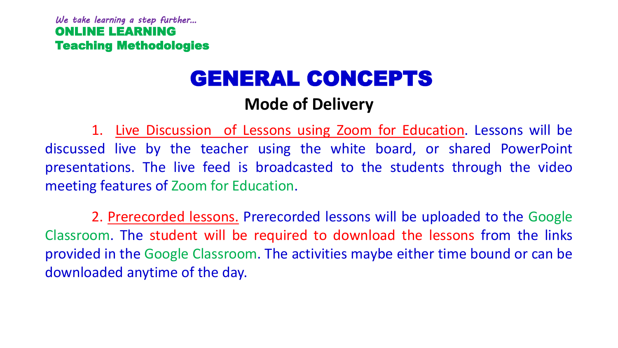# GENERAL CONCEPTS

# **Mode of Delivery**

1. Live Discussion of Lessons using Zoom for Education. Lessons will be discussed live by the teacher using the white board, or shared PowerPoint presentations. The live feed is broadcasted to the students through the video meeting features of Zoom for Education.

2. Prerecorded lessons. Prerecorded lessons will be uploaded to the Google Classroom. The student will be required to download the lessons from the links provided in the Google Classroom. The activities maybe either time bound or can be downloaded anytime of the day.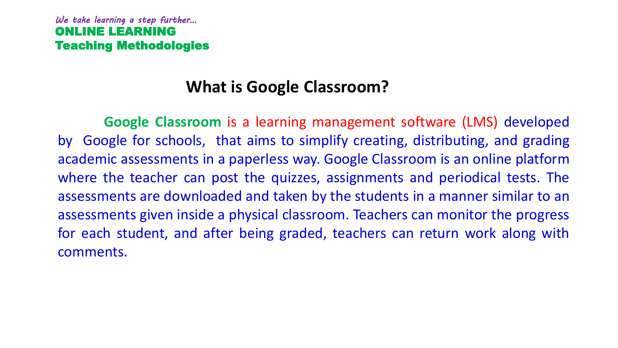### **What is Google Classroom?**

**Google Classroom** is a learning management software (LMS) developed by Google for schools, that aims to simplify creating, distributing, and grading academic assessments in a paperless way. Google Classroom is an online platform where the teacher can post the quizzes, assignments and periodical tests. The assessments are downloaded and taken by the students in a manner similar to an assessments given inside a physical classroom. Teachers can monitor the progress for each student, and after being graded, teachers can return work along with comments.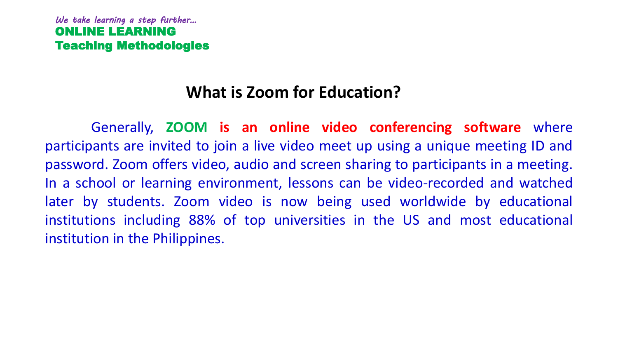### **What is Zoom for Education?**

Generally, **ZOOM is an online video conferencing software** where participants are invited to join a live video meet up using a unique meeting ID and password. Zoom offers video, audio and screen sharing to participants in a meeting. In a school or learning environment, lessons can be video-recorded and watched later by students. Zoom video is now being used worldwide by educational institutions including 88% of top universities in the US and most educational institution in the Philippines.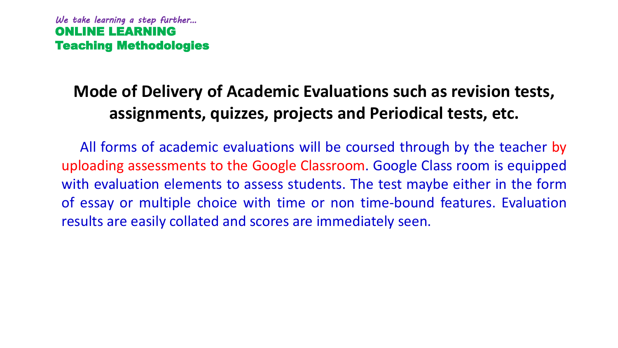# **Mode of Delivery of Academic Evaluations such as revision tests, assignments, quizzes, projects and Periodical tests, etc.**

All forms of academic evaluations will be coursed through by the teacher by uploading assessments to the Google Classroom. Google Class room is equipped with evaluation elements to assess students. The test maybe either in the form of essay or multiple choice with time or non time-bound features. Evaluation results are easily collated and scores are immediately seen.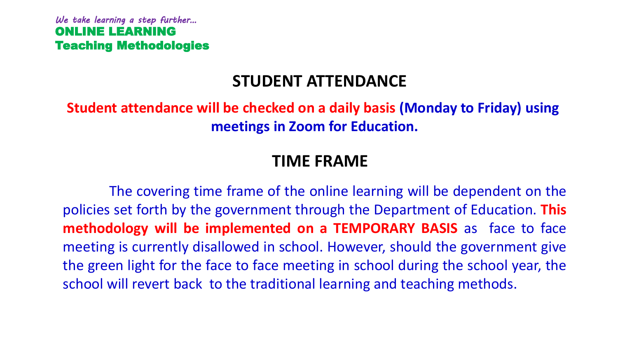### **STUDENT ATTENDANCE**

**Student attendance will be checked on a daily basis (Monday to Friday) using meetings in Zoom for Education.**

### **TIME FRAME**

The covering time frame of the online learning will be dependent on the policies set forth by the government through the Department of Education. **This methodology will be implemented on a TEMPORARY BASIS** as face to face meeting is currently disallowed in school. However, should the government give the green light for the face to face meeting in school during the school year, the school will revert back to the traditional learning and teaching methods.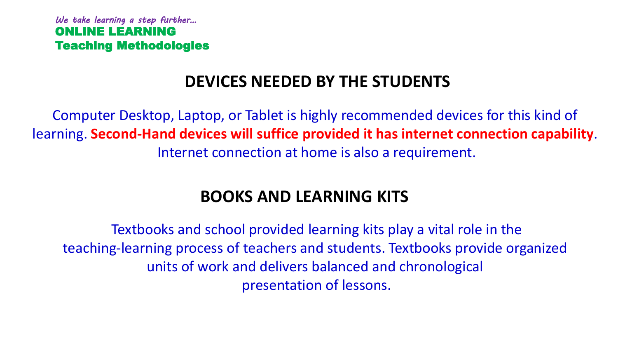# **DEVICES NEEDED BY THE STUDENTS**

Computer Desktop, Laptop, or Tablet is highly recommended devices for this kind of learning. **Second-Hand devices will suffice provided it has internet connection capability**. Internet connection at home is also a requirement.

# **BOOKS AND LEARNING KITS**

Textbooks and school provided learning kits play a vital role in the teaching-learning process of teachers and students. Textbooks provide organized units of work and delivers balanced and chronological presentation of lessons.